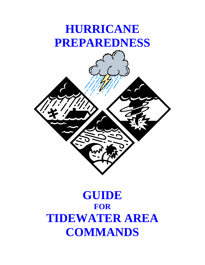# **HURRICANE PREPAREDNESS**



# **GUIDE FOR TIDEWATER AREA COMMANDS**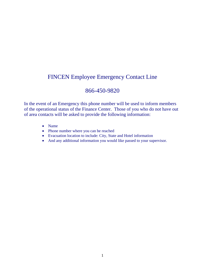# FINCEN Employee Emergency Contact Line

## 866-450-9820

In the event of an Emergency this phone number will be used to inform members of the operational status of the Finance Center. Those of you who do not have out of area contacts will be asked to provide the following information:

- Name
- Phone number where you can be reached
- Evacuation location to include: City, State and Hotel information
- And any additional information you would like passed to your supervisor.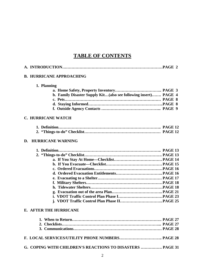## **TABLE OF CONTENTS**

|    | <b>B. HURRICANE APPROACHING</b>                                 |  |
|----|-----------------------------------------------------------------|--|
|    | 1. Planning                                                     |  |
|    |                                                                 |  |
|    | b. Family Disaster Supply Kit(also see following insert) PAGE 4 |  |
|    |                                                                 |  |
|    |                                                                 |  |
|    |                                                                 |  |
|    | <b>C. HURRICANE WATCH</b>                                       |  |
|    |                                                                 |  |
|    |                                                                 |  |
| D. | <b>HURRICANE WARNING</b>                                        |  |
|    |                                                                 |  |
|    |                                                                 |  |
|    |                                                                 |  |
|    |                                                                 |  |
|    |                                                                 |  |
|    |                                                                 |  |
|    |                                                                 |  |
|    |                                                                 |  |
|    |                                                                 |  |
|    |                                                                 |  |
|    |                                                                 |  |
|    |                                                                 |  |
|    | <b>E. AFTER THE HURRICANE</b>                                   |  |
|    |                                                                 |  |
|    |                                                                 |  |
|    |                                                                 |  |
|    |                                                                 |  |
|    | G. COPING WITH CHILDREN'S REACTIONS TO DISASTERS  PAGE 31       |  |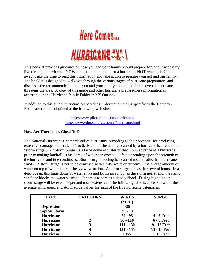

This booklet provides guidance on how you and your family should prepare for, and if necessary, live through a hurricane. **NOW** is the time to prepare for a hurricane, **NOT** when it is 72 hours away. Take the time to read this information and take action to prepare yourself and our family. The booklet is designed to walk you through the various stages of hurricane preparation, and discusses the recommended actions you and your family should take in the event a hurricane threatens the area. A copy of this guide and other hurricane preparedness information is accessible in the Hurricane Public Folder in MS Outlook.

In addition to this guide, hurricane preparedness information that is specific to the Hampton Roads area can be obtained at the following web sites:

> <http://www.pilotonline.com/hurricanes/> <http://www.vdot.state.va.us/traf/hurricane.html>

#### **How Are Hurricanes Classified?**

The National Hurricane Center classifies hurricanes according to their potential for producing extensive damage on a scale of 1 to 5. Much of the damage caused by a hurricane is a result of a "storm surge". A "Storm Surge" is a large dome of water pushed up in advance of a hurricane prior to making landfall. This dome of water can exceed 20 feet depending upon the strength of the hurricane and tide conditions. Storm surge flooding has caused more deaths than hurricane winds. A storm surge is not to be confused with a tidal wave or tsunami. It is a large amount of water on top of which there is heavy wave action. A storm surge can last for several hours. In a deep ocean, this huge dome of water sinks and flows away, but as the storm nears land, the rising sea floor blocks the water's escape. It comes ashore as a deadly flood. During high tide, the storm surge will be even deeper and more extensive. The following table is a breakdown of the average wind speed and storm surge values for each of the five hurricane categories:

| <b>TYPE</b>           | <b>CATEGORY</b> | <b>WINDS</b> | <b>SURGE</b>      |
|-----------------------|-----------------|--------------|-------------------|
|                       |                 | (MPH)        |                   |
| <b>Depression</b>     |                 | $>35$        |                   |
| <b>Tropical Storm</b> |                 | $39 - 73$    |                   |
| <b>Hurricane</b>      |                 | $74 - 95$    | $4 - 5$ Feet      |
| <b>Hurricane</b>      | 2               | $96 - 110$   | <b>6 - 8 Feet</b> |
| <b>Hurricane</b>      | 3               | $111 - 130$  | 9 - 12 Feet       |
| <b>Hurricane</b>      | 4               | $131 - 155$  | 13 - 18 Feet      |
| <b>Hurricane</b>      |                 | >155         | $>18$ Feet        |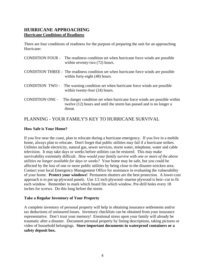## **HURRICANE APPROACHING Hurricane Conditions of Readiness**

There are four conditions of readiness for the purpose of preparing the unit for an approaching Hurricane:

|                        | CONDITION FOUR - The readiness condition set when hurricane force winds are possible<br>within seventy-two $(72)$ hours.                                  |
|------------------------|-----------------------------------------------------------------------------------------------------------------------------------------------------------|
|                        | CONDITION THREE - The readiness condition set when hurricane force winds are possible<br>within forty-eight (48) hours.                                   |
|                        | CONDITION TWO - The warning condition set when hurricane force winds are possible<br>within twenty-four $(24)$ hours.                                     |
| <b>CONDITION ONE -</b> | The danger condition set when hurricane force winds are possible within<br>twelve (12) hours and until the storm has passed and is no longer a<br>threat. |

## PLANNING - YOUR FAMILY'S KEY TO HURRICANE SURVIVAL

#### **How Safe is Your Home?**

If you live near the coast, plan to relocate during a hurricane emergency. If you live in a mobile home, always plan to relocate. Don't forget that public utilities may fail if a hurricane strikes. Utilities include electricity, natural gas, sewer services, storm water, telephone, water and cable television. It may take days or weeks before utilities can be restored. This may make survivability extremely difficult. *How would your family survive with one or more of the above utilities no longer available for days or weeks?* Your home may be safe, but you could be affected by the loss of one or more public utilities by being close to the disaster-stricken area. Contact your local Emergency Management Office for assistance in evaluating the vulnerability of your home. **Protect your windows!** Permanent shutters are the best protection. A lower-cost approach is to put up plywood panels. Use 1/2 inch plywood--marine plywood is best--cut to fit each window. Remember to mark which board fits which window. Pre-drill holes every 18 inches for screws. Do this long before the storm.

#### **Take a Regular Inventory of Your Property**

A complete inventory of personal property will help in obtaining insurance settlements and/or tax deductions of uninsured losses. Inventory checklists can be obtained from your insurance representative. Don't trust your memory! Emotional stress upon your family will already be traumatic after a disaster. Document personal property by listing descriptions, taking pictures or video of household belongings. **Store important documents in waterproof containers or a safety deposit box.**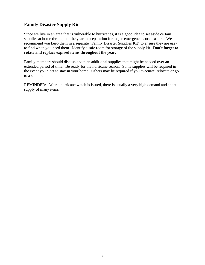## **Family Disaster Supply Kit**

Since we live in an area that is vulnerable to hurricanes, it is a good idea to set aside certain supplies at home throughout the year in preparation for major emergencies or disasters. We recommend you keep them in a separate "Family Disaster Supplies Kit" to ensure they are easy to find when you need them. Identify a safe room for storage of the supply kit. **Don't forget to rotate and replace expired items throughout the year.**

Family members should discuss and plan additional supplies that might be needed over an extended period of time. Be ready for the hurricane season. Some supplies will be required in the event you elect to stay in your home. Others may be required if you evacuate, relocate or go to a shelter.

REMINDER: After a hurricane watch is issued, there is usually a very high demand and short supply of many items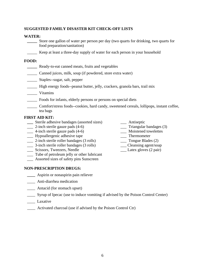#### **SUGGESTED FAMILY DISASTER KIT CHECK-OFF LISTS**

#### **WATER:**

- **\_\_\_\_\_** Store one gallon of water per person per day (two quarts for drinking, two quarts for food preparation/sanitation)
- Keep at least a three-day supply of water for each person in your household

#### **FOOD:**

- **\_\_\_\_\_** Ready-to-eat canned meats, fruits and vegetables
- \_\_\_\_\_ Canned juices, milk, soup (if powdered, store extra water)
- \_\_\_\_\_ Staples--sugar, salt, pepper
- \_\_\_\_\_ High energy foods--peanut butter, jelly, crackers, granola bars, trail mix
- \_\_\_\_\_ Vitamins
- Foods for infants, elderly persons or persons on special diets
- \_\_\_\_\_ Comfort/stress foods--cookies, hard candy, sweetened cereals, lollipops, instant coffee, tea bags

#### **FIRST AID KIT:**

- **\_\_\_** Sterile adhesive bandages (assorted sizes) \_\_\_ Antiseptic
- <sup>2</sup>-inch sterile gauze pads (4-6) <sup>7</sup> Triangular bandages (<sup>3</sup>/<sub>4</sub>-inch sterile gauze pads (4-6) <sup>3</sup> Moistened towelettes
- $\frac{1}{10}$  4-inch sterile gauze pads (4-6)
- \_\_\_ Hypoallergenic adhesive tape \_\_\_ Thermometer
- \_\_\_ 2-inch sterile roller bandages (3 rolls) \_\_\_ Tongue Blades (2)
- \_\_\_ 3-inch sterile roller bandages (3 rolls) \_\_\_ Cleansing agent/soap
- \_\_\_ Scissors, Tweezers, Needle \_\_\_ Latex gloves (2 pair)
- \_\_\_ Tube of petroleum jelly or other lubricant
- \_\_\_ Assorted sizes of safety pins Sunscreen

#### **NON-PRESCRIPTION DRUGS:**

- **\_\_\_\_** Aspirin or nonaspirin pain reliever
- \_\_\_\_ Anti-diarrhea medication
- \_\_\_\_ Antacid (for stomach upset)
- \_\_\_\_ Syrup of Ipecac (use to induce vomiting if advised by the Poison Control Center)
- \_\_\_\_ Laxative
- \_\_\_\_ Activated charcoal (use if advised by the Poison Control Ctr)
- 
- 
- 
- 
- 
- 
-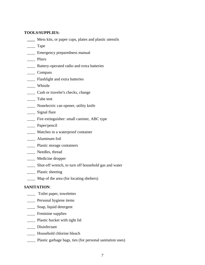#### **TOOLS/SUPPLIES:**

- **\_\_\_\_** Mess kits, or paper cups, plates and plastic utensils
- \_\_\_\_ Tape
- **Emergency preparedness manual**
- Pliers
- \_\_\_\_ Battery-operated radio and extra batteries
- \_\_\_\_ Compass
- \_\_\_\_ Flashlight and extra batteries
- \_\_\_\_ Whistle
- \_\_\_\_ Cash or traveler's checks, change
- \_\_\_\_ Tube tent
- \_\_\_\_ Nonelectric can opener, utility knife
- \_\_\_\_ Signal flare
- \_\_\_\_ Fire extinguisher: small canister, ABC type
- \_\_\_\_\_ Paper/pencil
- \_\_\_\_ Matches in a waterproof container
- \_\_\_\_ Aluminum foil
- \_\_\_\_ Plastic storage containers
- \_\_\_\_ Needles, thread
- \_\_\_\_ Medicine dropper
- \_\_\_\_ Shut-off wrench, to turn off household gas and water
- \_\_\_\_ Plastic sheeting
- \_\_\_\_ Map of the area (for locating shelters)

#### **SANITATION**:

- \_\_\_\_ Toilet paper, towelettes
- \_\_\_\_ Personal hygiene items
- \_\_\_\_ Soap, liquid detergent
- \_\_\_\_ Feminine supplies
- \_\_\_\_ Plastic bucket with tight lid
- \_\_\_\_\_ Disinfectant
- \_\_\_\_ Household chlorine bleach
- \_\_\_\_ Plastic garbage bags, ties (for personal sanitation uses)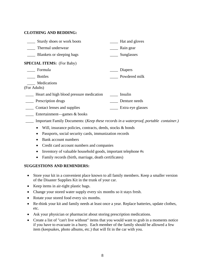#### **CLOTHING AND BEDDING:**

| Sturdy shoes or work boots               | Hat and gloves                                                                                 |
|------------------------------------------|------------------------------------------------------------------------------------------------|
| Thermal underwear                        | Rain gear                                                                                      |
| Blankets or sleeping bags                | Sunglasses                                                                                     |
| <b>SPECIAL ITEMS:</b> (For Baby)         |                                                                                                |
| Formula                                  | Diapers                                                                                        |
| <b>Bottles</b>                           | Powdered milk                                                                                  |
| Medications<br>(For Adults)              |                                                                                                |
| Heart and high blood pressure medication | Insulin                                                                                        |
| Prescription drugs                       | Denture needs                                                                                  |
| Contact lenses and supplies              | Extra eye glasses                                                                              |
| Entertainment—games & books              |                                                                                                |
|                                          | Important Family Documents: ( <i>Keep these records in a waterproof, portable container.</i> ) |

- Will, insurance policies, contracts, deeds, stocks & bonds
	- Passports, social security cards, immunization records
	- Bank account numbers
	- Credit card account numbers and companies
	- Inventory of valuable household goods, important telephone #s
	- Family records (birth, marriage, death certificates)

#### **SUGGESTIONS AND REMINDERS:**

- Store your kit in a convenient place known to all family members. Keep a smaller version of the Disaster Supplies Kit in the trunk of your car.
- Keep items in air-tight plastic bags.
- Change your stored water supply every six months so it stays fresh.
- Rotate your stored food every six months.
- Re-think your kit and family needs at least once a year. Replace batteries, update clothes, etc.
- Ask your physician or pharmacist about storing prescription medications.
- Create a list of "can't live without" items that you would want to grab in a moments notice if you have to evacuate in a hurry. Each member of the family should be allowed a few item (keepsakes, photo albums, etc.) that will fit in the car with you.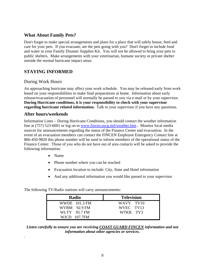## **What About Family Pets?**

Don't forget to make special arrangements and plans for a place that will safely house, feed and care for your pets. If you evacuate, are the pets going with you? Don't forget to include food and water in your Family Disaster Supplies Kit. You will not be allowed to bring your pets to public shelters. Make arrangements with your veterinarian, humane society or private shelter outside the normal hurricane impact areas.

## **STAYING INFORMED**

### During Work Hours

An approaching hurricane may affect your work schedule. You may be released early from work based on your responsibilities to make final preparations at home. Information about early release/evacuation of personnel will normally be passed to you via e-mail or by your supervisor. **During Hurricane conditions, it is your responsibility to check with your supervisor regarding hurricane related information.** Talk to your supervisor if you have any questions.

#### **After hours/weekends**

.

Information Lines – During Hurricane Conditions, you should contact the weather information line at (757) 523-6001 or log on to [www.fincen.uscg.mil/weather.htm](http://www.fincen.uscg.mil/weather.htm) **.** Monitor local media sources for announcements regarding the status of the Finance Center and evacuation. In the event of an evacuation members can contact the FINCEN Employee Emergency Contact line at 866-450-9820 this phone number will be used to inform members of the operational status of the Finance Center. Those of you who do not have out of area contacts will be asked to provide the following information:

- Name
- Phone number where you can be reached
- Evacuation location to include: City, State and Hotel information
- And any additional information you would like passed to your supervisor.

The following TV/Radio stations will carry announcements:

| Radio         | <b>Television</b> |
|---------------|-------------------|
| WWDE 101.3 FM | WAVY TV10         |
| WVBM 92.9 FM  | WVEC TV13         |
| WLTY 95.7 FM  | WTKR TV3          |
| WICD 107.7FM  |                   |

*Listen carefully to ensure you are receiving COAST GUARD FINCEN information and not information about other agencies or services.*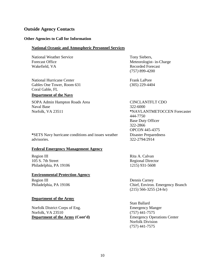### **Outside Agency Contacts**

#### **Other Agencies to Call for Information**

#### **National Oceanic and Atmospheric Personnel Services**

National Weather Service Forecast Office Wakefield, VA

National Hurricane Center Gables One Tower, Room 631 Coral Gable, FL

#### **Department of the Navy**

SOPA Admin Hampton Roads Area Naval Base Norfolk, VA 23511

Tony Siebers, Meteorologist- in-Charge Recorded Forecast (757*)* 899-4200

Frank LaPore (305) 229-4404

CINCLANTFLT CDO 322-6000 **\***NAVLANTMETOCCEN Forecaster 444-7750 Base Duty Officer 322-2866 OPCON 445-4375 Disaster Preparedness 322-2794/2914

**\***SETS Navy hurricane conditions and issues weather advisories.

#### **Federal Emergency Management Agency**

Region III 105 S. 7th Street Philadelphia, PA 19106

#### **Environmental Protection Agency**

Region III Philadelphia, PA 19106

#### **Department of the Army**

Norfolk District Corps of Eng. Norfolk, VA 23510 **Department of the Army (Cont'd)** Emergency Operations Center

1215) 931-5608

Rita A. Calvan Regional Director

Dennis Carney Chief, Environ. Emergency Branch (215) 566-3255 (24-hr)

Stan Ballard Emergency Manger (757) 441-7575 Norfolk Division (757) 441-7575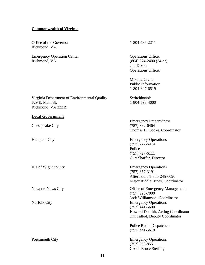#### **Commonwealth of Virginia**

Office of the Governor Richmond, VA

Emergency Operation Center Richmond, VA

1-804-786-2211

Operations Office: (804) 674-2400 (24-hr) Jim Dixon Operations Officer

Mike LaCivita Public Information 1-804-897-6519

Switchboard: 1-804-698-4000

Emergency Preparedness (757) 382-6464 Thomas H. Cooke, Coordinator

Hampton City Emergency Operations (757) 727-6414 Police (757) 727-6111 Curt Shaffer, Director

Isle of Wight county Emergency Operations (757) 357-3191 After hours 1-800-245-0090 Major Riddle Hines, Coordinator

Newport News City **Newport News City Office of Emergency Management** (757) 926-7000 Jack Williamson, Coordinator Norfolk City Emergency Operations (757) 441-5600 Howard Douthit, Acting Coordinator Jim Talbot, Deputy Coordinator

> Police Radio Dispatcher (757) 441-5610

Portsmouth City Emergency Operations (757) 393-8551 CAPT Bruce Sterling

#### Virginia Department of Environmental Quality 629 E. Main St. Richmond, VA 23219

#### **Local Government**

Chesapeake City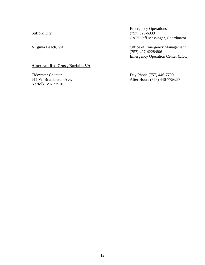Suffolk City

Emergency Operations (757) 925-6339 CAPT Jeff Messinger, Coordinator

Virginia Beach, VA Office of Emergency Management (757) 427-4228/8061 Emergency Operation Center (EOC)

#### **American Red Cross, Norfolk, VA**

Tidewater Chapter 611 W. Brambleton Ave. Norfolk, VA 23510

Day Phone (757) 446-7700 After Hours (757) 446-7756/57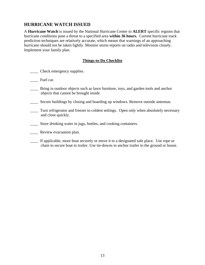## **HURRICANE WATCH ISSUED**

A **Hurricane Watch** is issued by the National Hurricane Center to **ALERT** specific regions that hurricane conditions pose a threat to a specified area **within 36 hours.** Current hurricane track prediction techniques are relatively accurate, which means that warnings of an approaching hurricane should not be taken lightly. Monitor storm reports on radio and television closely. Implement your family plan.

#### **Things-to-Do Checklist**

- \_\_\_\_ Check emergency supplies.
- \_\_\_\_ Fuel car.
- \_\_\_\_ Bring in outdoor objects such as lawn furniture, toys, and garden tools and anchor objects that cannot be brought inside.
- \_\_\_\_ Secure buildings by closing and boarding up windows. Remove outside antennas.
- \_\_\_\_ Turn refrigerator and freezer to coldest settings. Open only when absolutely necessary and close quickly.
- \_\_\_\_ Store drinking water in jugs, bottles, and cooking containers.
- \_\_\_\_ Review evacuation plan.
- \_\_\_\_ If applicable, moor boat securely or move it to a designated safe place. Use rope or chain to secure boat to trailer. Use tie-downs to anchor trailer to the ground or house.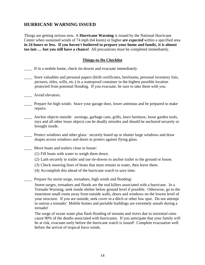## **HURRICANE WARNING ISSUED**

Things are getting serious now. A **Hurricane Warning** is issued by the National Hurricane Center when sustained winds of 74 mph (64 knots) or higher *are expected* within a specified area **in 24 hours or less. If you haven't bothered to prepare your home and family, it is almost too late … but you still have a chance!** All precautions must be completed immediately.

#### **Things-to-Do Checklist**

\_\_\_\_ If in a mobile home, check tie-downs and evacuate immediately.

- Store valuables and personal papers (birth certificates, heirlooms, personal inventory lists, pictures, titles, wills, etc.) in a waterproof container in the highest possible location protected from potential flooding. If you evacuate, be sure to take them with you.
- Avoid elevators.
- \_\_\_\_ Prepare for high winds: brace your garage door, lower antennas and be prepared to make repairs.
- \_\_\_\_ Anchor objects outside: awnings, garbage cans, grills, lawn furniture, loose garden tools, toys and all other loose objects can be deadly missiles and should be anchored securely or brought inside.
- \_\_\_\_ Protect windows and other glass: securely board up or shutter large windows and draw drapes across windows and doors to protect against flying glass.

\_\_\_\_ Move boats and trailers close to house:

- (1) Fill boats with water to weigh them down.
- (2) Lash securely to trailer and use tie-downs to anchor trailer to the ground or house.
- (3) Check mooring lines of boats that must remain in water, then leave them.
- (4) Accomplish this ahead of the hurricane watch to save time.

Prepare for storm surge, tornadoes, high winds and flooding:

Storm surges, tornadoes and floods are the real killers associated with a hurricane. In a Tornado Warning, seek inside shelter below ground level if possible. Otherwise, go to the innermost small room away from outside walls, doors and windows on the lowest level of your structure. If you are outside, seek cover in a ditch or other low spot. Do not attempt to outrun a tornado! Mobile homes and portable buildings are extremely unsafe during a tornado!

The surge of ocean water plus flash flooding of streams and rivers due to torrential rains cause 90% of the deaths associated with hurricanes. If you anticipate that your family will be at risk, evacuate early before the hurricane watch is issued! Complete evacuation well before the arrival of tropical force winds.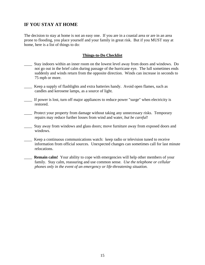## **IF YOU STAY AT HOME**

The decision to stay at home is not an easy one. If you are in a coastal area or are in an area prone to flooding, you place yourself and your family in great risk. But if you MUST stay at home, here is a list of things to do:

#### **Things-to-Do Checklist**

- \_\_\_\_ Stay indoors within an inner room on the lowest level away from doors and windows. Do not go out in the brief calm during passage of the hurricane eye. The lull sometimes ends suddenly and winds return from the opposite direction. Winds can increase in seconds to 75 mph or more.
- Keep a supply of flashlights and extra batteries handy. Avoid open flames, such as candles and kerosene lamps, as a source of light.
- \_\_\_\_ If power is lost, turn off major appliances to reduce power "surge" when electricity is restored.
- \_\_\_\_ Protect your property from damage without taking any unnecessary risks. Temporary repairs may reduce further losses from wind and water, *but be careful!*
- \_\_\_\_ Stay away from windows and glass doors; move furniture away from exposed doors and windows.
- \_\_\_\_ Keep a continuous communications watch: keep radio or television tuned to receive information from official sources. Unexpected changes can sometimes call for last minute relocations.
- **Remain calm!** Your ability to cope with emergencies will help other members of your family. Stay calm, reassuring and use common sense*. Use the telephone or cellular phones only in the event of an emergency or life-threatening situation.*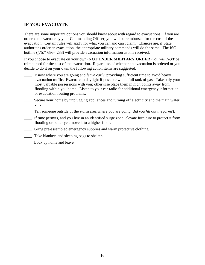## **IF YOU EVACUATE**

There are some important options you should know about with regard to evacuations. If you are ordered to evacuate by your Commanding Officer, you will be reimbursed for the cost of the evacuation. Certain rules will apply for what you can and can't claim. Chances are, if State authorities order an evacuation, the appropriate military commands will do the same. The ISC hotline ((757) 686-4233) will provide evacuation information as it is received.

If you choose to evacuate on your own (**NOT UNDER MILITARY ORDER**) *you will NOT* be reimbursed for the cost of the evacuation. Regardless of whether an evacuation is ordered or you decide to do it on your own, the following action items are suggested:

- \_\_\_\_ Know where you are going and *leave early*, providing sufficient time to avoid heavy evacuation traffic. Evacuate in daylight if possible with a full tank of gas. Take only your most valuable possessions with you; otherwise place them in high points away from flooding within you home. Listen to your car radio for additional emergency information or evacuation routing problems.
- Secure your home by unplugging appliances and turning off electricity and the main water valve.
- \_\_\_\_ Tell someone outside of the storm area where you are going (*did you fill out the form*?).
- If time permits, and you live in an identified surge zone, elevate furniture to protect it from flooding or better yet, move it to a higher floor.
- Bring pre-assembled emergency supplies and warm protective clothing.
- \_\_\_\_ Take blankets and sleeping bags to shelter.
- \_\_\_\_ Lock up home and leave.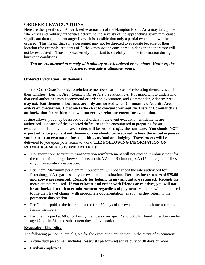## **ORDERED EVACUATIONS**

Here are the specifics … An **ordered evacuation** of the Hampton Roads Area may take place when civil and military authorities determine the severity of the approaching storm may cause significant damage and endanger lives. It is possible that only a partial evacuation will be ordered. This means that some personnel may not be directed to evacuate because of their location (for example, residents of Suffolk may *not* be considered in danger and therefore will not be evacuated). Thus, it is **extremely** important to carefully monitor information during hurricane conditions.

*You are encouraged to comply with military or civil ordered evacuations. However, the decision to evacuate is ultimately yours.* 

#### **Ordered Evacuation Entitlements**

It is the Coast Guard's policy to reimburse members for the cost of relocating themselves and their families *when the Area Commander orders an evacuation*. It is important to understand that civil authorities may recommend or order an evacuation, and Commander, Atlantic Area may not. **Entitlement allowances are only authorized when Commander, Atlantic Area orders an evacuation. Personnel who elect to evacuate without the District Commander's authorization for entitlements will not receive reimbursement for evacuation.** 

If time allows, you may be issued travel orders in the event evacuation entitlements are authorized. Because of the expected difficulties to be encountered in preparing for an evacuation, it is likely that travel orders will be provided *after* the hurricane. **You should NOT expect advance payment entitlements. You should be prepared to bear the initial expenses you incur in an evacuation for such things as food and lodging.** Travel orders will be delivered to you upon your return to work**. THE FOLLOWING INFORMATION ON REIMBURSEMENTS IS IMPORTANT!!!**

- Transportation: Maximum transportation reimbursement will not exceed reimbursement for the round-trip mileage between Portsmouth, VA and Richmond, VA (154 miles) regardless of your evacuation destination.
- Per Diem: Maximum per diem reimbursement will not exceed the rate authorized for Petersburg, VA regardless of your evacuation destination. **Receipts for expenses of \$75.00 and above are required. Receipts for lodging in any amount are required.** Receipts for meals are not required. **If you relocate and reside with friends or relatives, you will not be authorized per diem reimbursement regardless of payment**. Members will be required to file their travel claims (with appropriate documentation) as soon as they return to the permanent duty station.
- Per Diem is paid at the full rate for the first 30 days of the evacuation to both members and family members.
- Per Diem is paid at 60% for family members over age 12 and 30% for family members under age 12 on the  $31<sup>st</sup>$  and subsequent days of evacuation.

#### **Evacuation Eligibility**

The following personnel are eligible for the evacuation entitlement in the event of evacuation:

- Active duty personnel (includes Reservists performing active duty of 30 days or more)
- Civilian employees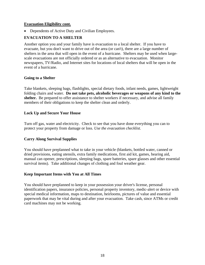#### **Evacuation Eligibility cont.**

• Dependents of Active Duty and Civilian Employees.

#### **EVACUATION TO A SHELTER**

Another option you and your family have is evacuation to a local shelter. If you have to evacuate, but you don't want to drive out of the area (or can't), there are a large number of shelters in the area that will open in the event of a hurricane. Shelters may be used when largescale evacuations are not officially ordered or as an alternative to evacuation. Monitor newspapers, TV/Radio, and Internet sites for locations of local shelters that will be open in the event of a hurricane.

#### **Going to a Shelter**

Take blankets, sleeping bags, flashlights, special dietary foods, infant needs, games, lightweight folding chairs and water. **Do not take pets, alcoholic beverages or weapons of any kind to the shelter.** Be prepared to offer assistance to shelter workers if necessary, and advise all family members of their obligations to keep the shelter clean and orderly.

#### **Lock Up and Secure Your House**

Turn off gas, water and electricity. Check to see that you have done everything you can to protect your property from damage or loss. *Use the evacuation checklist.*

#### **Carry Along Survival Supplies**

You should have preplanned what to take in your vehicle (blankets, bottled water, canned or dried provisions, eating utensils, extra family medications, first aid kit, games, hearing aid, manual can opener, prescriptions, sleeping bags, spare batteries, spare glasses and other essential survival items). Take additional changes of clothing and foul weather gear.

#### **Keep Important Items with You at All Times**

You should have preplanned to keep in your possession your driver's license, personal identification papers, insurance policies, personal property inventory, medic-alert or device with special medical information, maps to destination, heirlooms, pictures of value and essential paperwork that may be vital during and after your evacuation. Take cash, since ATMs or credit card machines may not be working.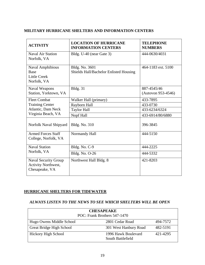#### **MILITARY HURRICANE SHELTERS AND INFORMATION CENTERS**

| <b>ACTIVITY</b>                                                              | <b>LOCATION OF HURRICANE</b><br><b>INFORMATION CENTERS</b> | <b>TELEPHONE</b><br><b>NUMBERS</b> |
|------------------------------------------------------------------------------|------------------------------------------------------------|------------------------------------|
| <b>Naval Air Station</b><br>Norfolk, VA                                      | Bldg. U-40 (near Gate 3)                                   | 444-0630/4031                      |
| <b>Naval Amphibious</b><br><b>Base</b><br><b>Little Creek</b><br>Norfolk, VA | Bldg. No. 3601<br>Shields Hall/Bachelor Enlisted Housing   | 464-1183 ext. 5100                 |
| <b>Naval Weapons</b><br>Station, Yorktown, VA                                | <b>Bldg.</b> 31                                            | 887-4545/46<br>(Autovon 953-4546)  |
| <b>Fleet Combat</b>                                                          | Walker Hall (primary)                                      | 433-7895                           |
| <b>Training Center</b>                                                       | Rayborn Hall                                               | 433-0730                           |
| Atlantic, Dam Neck                                                           | <b>Taylor Hall</b>                                         | 433-6234/6324                      |
| Virginia Beach, VA                                                           | Nopf Hall                                                  | 433-6914/80/6880                   |
| Norfolk Naval Shipyard                                                       | <b>Bldg. No. 310</b>                                       | 396-3845                           |
| <b>Armed Forces Staff</b><br>College, Norfolk, VA                            | Normandy Hall                                              | 444-5150                           |
| <b>Naval Station</b>                                                         | Bldg. No. C-9                                              | 444-2225                           |
| Norfolk, VA                                                                  | <b>Bldg. No. O-26</b>                                      | 444-5332                           |
| Naval Security Group<br>Activity Northwest,<br>Chesapeake, VA                | Northwest Hall Bldg. 8                                     | 421-8203                           |

#### **HURRICANE SHELTERS FOR TIDEWATER**

#### *ALWAYS LISTEN TO THE NEWS TO SEE WHICH SHELTERS WILL BE OPEN*

| <b>CHESAPEAKE</b><br>POC: Frank Brothers 547-1470 |                                          |          |  |
|---------------------------------------------------|------------------------------------------|----------|--|
| Hugo Owens Middle School                          | 2801 Cedar Road                          | 494-7572 |  |
| <b>Great Bridge High School</b>                   | 301 West Hanbury Road                    | 482-5191 |  |
| <b>Hickory High School</b>                        | 1996 Hawk Boulevard<br>South Battlefield | 421-4295 |  |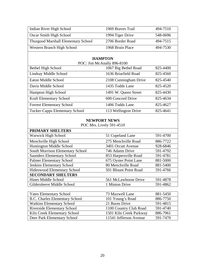| Indian River High School              | 1969 Braves Trail          | 494-7510 |
|---------------------------------------|----------------------------|----------|
| <b>Oscar Smith High School</b>        | 1994 Tiger Drive           | 548-0696 |
| Thurgood Marshall Elementary School   | 2706 Border Road           | 494-7515 |
| Western Branch High School            | 1968 Bruin Place           | 494-7530 |
|                                       |                            |          |
|                                       | <b>HAMPTON</b>             |          |
|                                       | POC: Jim McAnally 896-8100 |          |
| <b>Bethel High School</b>             | 1067 Big Bethel Road       | 825-4400 |
| Lindsay Middle School                 | 1636 Briarfield Road       | 825-4560 |
| Eaton Middle School                   | 2108 Cunningham Drive      | 825-4540 |
| Davis Middle School                   | 1435 Todds Lane            | 825-4520 |
| Hampton High School                   | 1491 W. Queen Street       | 825-4430 |
| Kraft Elementary School               | 600 Concord Drive          | 825-4634 |
| <b>Forrest Elementary School</b>      | 1406 Todds Lane            | 825-4627 |
| <b>Tucker-Capps Elementary School</b> | 113 Wellington Drive       | 825-4641 |
|                                       |                            |          |
|                                       | <b>NEWPORT NEWS</b>        |          |
|                                       | POC Mrs. Lively 591-4510   |          |
| <b>PRIMARY SHELTERS</b>               |                            |          |
| Warwick High School                   | 51 Copeland Lane           | 591-4700 |
| Menchville High School                | 275 Menchville Road        | 886-7722 |
| Huntington Middle School              | 3401 Orcutt Avenue         | 928-6846 |
| South Morrison Elementary School      | 746 Adams Drive            | 591-4792 |
| <b>Saunders Elementary School</b>     | 853 Harpersville Road      | 591-4781 |
| <b>Palmer Elementary School</b>       | 675 Oyster Point Lane      | 881-5000 |
| <b>Jenkins Elementary School</b>      | 80 Menchville Road         | 881-5400 |
| Hidenwood Elementary School           | 501 Blount Point Road      | 591-4766 |
| <b>SECONDARY SHELTERS</b>             |                            |          |
| Hines Middle School                   | 561 McLawhorne Drive       | 591-4878 |
| Gildersleeve Middle School            | 1 Minton Drive             | 591-4862 |
|                                       |                            |          |
| <b>Yates Elementary School</b>        | 73 Maxwell Lane            | 881-5450 |
| <b>B.C. Charles Elementary School</b> | 101 Young's Road           | 886-7750 |
| <b>Watkins Elementary School</b>      | 21 Burns Drive             | 591-4815 |
| <b>Riverside Elementary School</b>    | 1100 Country Club Road     | 591-4740 |
| Kiln Creek Elementary School          |                            |          |
|                                       | 1501 Kiln Creek Parkway    | 886-7961 |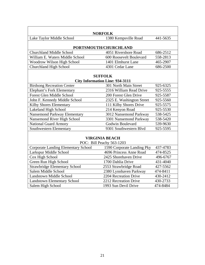| <b>NORFOLK</b>                             |                                        |          |  |  |
|--------------------------------------------|----------------------------------------|----------|--|--|
| Lake Taylor Middle School                  | 441-5635                               |          |  |  |
|                                            | 1380 Kempsville Road                   |          |  |  |
|                                            | PORTSMOUTH/CHURCHLAND                  |          |  |  |
| <b>Churchland Middle School</b>            | 4051 Rivershore Road                   | 686-2512 |  |  |
| William E. Waters Middle School            | 600 Roosevelt Boulevard                | 558-2813 |  |  |
| Woodrow Wilson High School                 | 1401 Elmhurst Lane                     | 465-2907 |  |  |
| <b>Churchland High School</b>              | 4301 Cedar Lane                        | 686-2500 |  |  |
|                                            |                                        |          |  |  |
|                                            | <b>SUFFOLK</b>                         |          |  |  |
|                                            | <b>City Information Line: 934-3111</b> |          |  |  |
| <b>Birdsong Recreation Center</b>          | 301 North Main Street                  | 925-6325 |  |  |
| <b>Elephant's Fork Elementary</b>          | 2316 William Read Drive                | 925-5555 |  |  |
| <b>Forest Glen Middle School</b>           | 200 Forest Glen Drive                  | 925-5587 |  |  |
| John F. Kennedy Middle School              | 2325 E. Washington Street              | 925-5560 |  |  |
| Kilby Shores Elementary                    | 111 Kilby Shores Drive                 | 925-5575 |  |  |
| Lakeland High School                       | 214 Kenyon Road                        | 925-5530 |  |  |
| <b>Nansemond Parkway Elementary</b>        | 3012 Nansemond Parkway                 | 538-5425 |  |  |
| Nansemond River High School                | 3301 Nansemond Parkway                 | 538-5420 |  |  |
| <b>National Guard Armory</b>               | Godwin Boulevard                       | 539-9630 |  |  |
| Southwestern Elementary                    | 9301 Southwestern Blvd                 | 925-5595 |  |  |
|                                            |                                        |          |  |  |
|                                            | <b>VIRGINIA BEACH</b>                  |          |  |  |
|                                            | POC: Bill Peachy 563-1203              |          |  |  |
| <b>Corporate Landing Elementary School</b> | 1590 Corporate Landing Pky             | 437-4783 |  |  |
| Larkspur Middle School                     | 4696 Princess Anne Road                | 474-8525 |  |  |
| Cox High School                            | 2425 Shorehaven Drive                  | 496-6767 |  |  |
| Green Run High School                      | 1700 Dahlia Drive                      | 431-4040 |  |  |
| <b>Strawbridge Elementary School</b>       | 2553 Strawbridge Road                  | 427-5562 |  |  |
| Salem Middle School                        | 2380 Lynnhaven Parkway                 | 474-8411 |  |  |
| <b>Landstown Middle School</b>             | 2204 Recreation Drive                  | 430-2412 |  |  |
| <b>Landstown Elementary School</b>         | 2212 Recreation Drive                  | 430-2733 |  |  |

Landstown Elementary School 2212 Recreation Drive 430-2733<br>
Salem High School 1993 Sun Devil Drive 474-8484

1993 Sun Devil Drive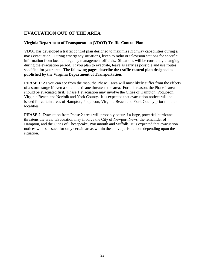## **EVACUATION OUT OF THE AREA**

#### **Virginia Department of Transportation (VDOT) Traffic Control Plan**

VDOT has developed a traffic control plan designed to maximize highway capabilities during a mass evacuation. During emergency situations, listen to radio or television stations for specific information from local emergency management officials. Situations will be constantly changing during the evacuation period. If you plan to evacuate, leave as early as possible and use routes specified for your area. **The following pages describe the traffic control plan designed as published by the Virginia Department of Transportation**:

**PHASE 1:** As you can see from the map, the Phase 1 area will most likely suffer from the effects of a storm surge if even a small hurricane threatens the area. For this reason, the Phase 1 area should be evacuated first. Phase 1 evacuation may involve the Cities of Hampton, Poquoson, Virginia Beach and Norfolk and York County. It is expected that evacuation notices will be issued for certain areas of Hampton, Poquoson, Virginia Beach and York County prior to other localities.

**PHASE 2**: Evacuation from Phase 2 areas will probably occur if a large, powerful hurricane threatens the area. Evacuation may involve the City of Newport News, the remainder of Hampton, and the Cities of Chesapeake, Portsmouth and Suffolk. It is expected that evacuation notices will be issued for only certain areas within the above jurisdictions depending upon the situation.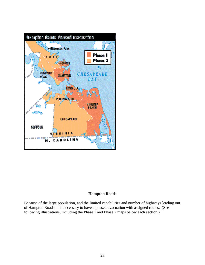

#### **Hampton Roads**

Because of the large population, and the limited capabilities and number of highways leading out of Hampton Roads, it is necessary to have a phased evacuation with assigned routes. (See following illustrations, including the Phase 1 and Phase 2 maps below each section.)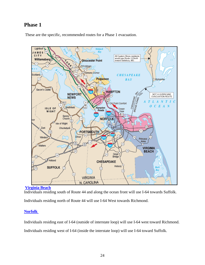## **Phase 1**

These are the specific, recommended routes for a Phase 1 evacuation.





Individuals residing south of Route 44 and along the ocean front will use I-64 towards Suffolk.

Individuals residing north of Route 44 will use I-64 West towards Richmond.

#### **[Norfolk](http://cgweb.lant.uscg.mil/disaster/documents/hur_nor1.html)**

Individuals residing east of I-64 (outside of interstate loop) will use I-64 west toward Richmond.

Individuals residing west of I-64 (inside the interstate loop) will use I-64 toward Suffolk.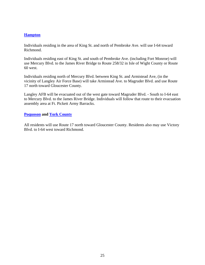#### **[Hampton](http://cgweb.lant.uscg.mil/disaster/documents/hur_poq1.html)**

Individuals residing in the area of King St. and north of Pembroke Ave. will use I-64 toward Richmond.

Individuals residing east of King St. and south of Pembroke Ave. (including Fort Monroe) will use Mercury Blvd. to the James River Bridge to Route 258/32 in Isle of Wight County or Route 60 west.

Individuals residing north of Mercury Blvd. between King St. and Armistead Ave, (in the vicinity of Langley Air Force Base) will take Armistead Ave. to Magruder Blvd. and use Route 17 north toward Gloucester County.

Langley AFB will be evacuated out of the west gate toward Magruder Blvd. - South to I-64 east to Mercury Blvd. to the James River Bridge. Individuals will follow that route to their evacuation assembly area at Ft. Pickett Army Barracks.

#### **[Poquoson](http://cgweb.lant.uscg.mil/disaster/documents/hur_poq1.html) and [York County](http://cgweb.lant.uscg.mil/disaster/documents/hur_yor1.html)**

All residents will use Route 17 north toward Gloucester County. Residents also may use Victory Blvd. to I-64 west toward Richmond.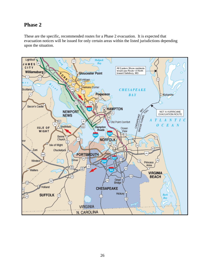## **Phase 2**

These are the specific, recommended routes for a Phase 2 evacuation. It is expected that evacuation notices will be issued for only certain areas within the listed jurisdictions depending upon the situation.

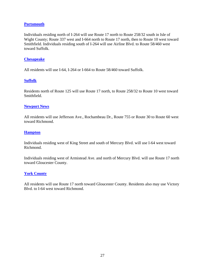#### **[Portsmouth](http://cgweb.lant.uscg.mil/disaster/documents/hur_che2.html)**

Individuals residing north of I-264 will use Route 17 north to Route 258/32 south in Isle of Wight County; Route 337 west and I-664 north to Route 17 north, then to Route 10 west toward Smithfield. Individuals residing south of I-264 will use Airline Blvd. to Route 58/460 west toward Suffolk.

#### **[Chesapeake](http://cgweb.lant.uscg.mil/disaster/documents/hur_che2.html)**

All residents will use I-64, I-264 or I-664 to Route 58/460 toward Suffolk.

#### **[Suffolk](http://cgweb.lant.uscg.mil/disaster/documents/hur_suf2.html)**

Residents north of Route 125 will use Route 17 north, to Route 258/32 to Route 10 west toward Smithfield.

#### **[Newport News](http://cgweb.lant.uscg.mil/disaster/documents/hur_new2.html)**

All residents will use Jefferson Ave., Rochambeau Dr., Route 755 or Route 30 to Route 60 west toward Richmond.

#### **[Hampton](http://cgweb.lant.uscg.mil/disaster/documents/hur_ham2.html)**

Individuals residing west of King Street and south of Mercury Blvd. will use I-64 west toward Richmond.

Individuals residing west of Armistead Ave. and north of Mercury Blvd. will use Route 17 north toward Gloucester County.

#### **[York County](http://cgweb.lant.uscg.mil/disaster/documents/hur_yor1.html)**

All residents will use Route 17 north toward Gloucester County. Residents also may use Victory Blvd. to I-64 west toward Richmond.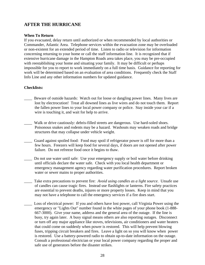## **AFTER THE HURRICANE**

#### **When To Return**

If you evacuated, delay return until authorized or when recommended by local authorities or Commander, Atlantic Area. Telephone services within the evacuation zone may be overloaded or non-existent for an extended period of time. Listen to radio or television for information concerning returning to your home or call the staff information line. It is recognized that if extensive hurricane damage in the Hampton Roads area takes place, you may be pre-occupied with reestablishing your home and situating your family. It may be difficult or perhaps impossible for you to report to work immediately on a full time basis. Guidance for reporting for work will be determined based on an evaluation of area conditions. Frequently check the Staff Info Line and any other information numbers for updated guidance.

#### **Checklists:**

- Beware of outside hazards: Watch out for loose or dangling power lines. Many lives are lost by electrocution! Treat all downed lines as live wires and do not touch them. Report the fallen power lines to your local power company or police. Stay inside your car if a wire is touching it, and wait for help to arrive.
- Walk or drive cautiously: debris-filled streets are dangerous. Use hard-soled shoes. Poisonous snakes and rodents may be a hazard. Washouts may weaken roads and bridge structures that may collapse under vehicle weight.
- Guard against spoiled food: Food may spoil if refrigerator power is off for more than a few hours. Freezers will keep food for several days, if doors are not opened after power failure. Do not refreeze food once it begins to thaw.
- Do not use water until safe: Use your emergency supply or boil water before drinking until officials declare the water safe. Check with you local health department or emergency management agency regarding water purification procedures. Report broken water or sewer mains to proper authorities.
- Take extra precautions to prevent fire: *Avoid using candles as a light source*. Unsafe use of candles can cause tragic fires. Instead use flashlights or lanterns. Fire safety practices are essential to prevent deaths, injures or more property losses. Keep in mind that you may not have a telephone to call the emergency services if a fire does start.
- Loss of electrical power: If you and others have lost power, call Virginia Power using the emergency or "Lights Out" number found in the white pages of your phone book (1-888- 667-3000). Give your name, address and the general area of the outage. If the line is busy, try again later. A busy signal means others are also reporting outages. Disconnect or turn off any major appliance like stoves, televisions, air conditioners and water heaters that could come on suddenly when power is restored. This will help prevent blowing fuses, tripping circuit breakers and fires. Leave a light on so you will know when power is restored. Use a battery-powered radio to obtain up-to-date information on the outage. Consult a professional electrician or your local power company regarding the proper and safe use of generators before the disaster strikes.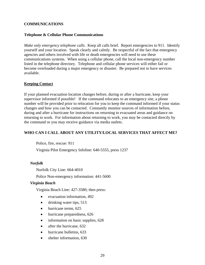#### **COMMUNICATIONS**

#### **Telephone & Cellular Phone Communications**

*Make only emergency telephone calls*. Keep all calls brief. Report emergencies to 911. Identify yourself and your location. Speak clearly and calmly. Be respectful of the fact that emergency agencies and others involved with life or death emergencies will need to use these communications systems. When using a cellular phone, call the local non-emergency number listed in the telephone directory. Telephone and cellular phone services will either fail or become overloaded during a major emergency or disaster. Be prepared not to have services available.

#### **Keeping Contact**

If your planned evacuation location changes before, during or after a hurricane, keep your supervisor informed if possible! If the command relocates to an emergency site, a phone number will be provided prior to relocation for you to keep the command informed if your status changes and how you can be contacted. Constantly monitor sources of information before, during and after a hurricane for instructions on returning to evacuated areas and guidance on returning to work. For information about returning to work, you may be contacted directly by the command or you may receive guidance via media outlets.

#### **WHO CAN I CALL ABOUT ANY UTILITY/LOCAL SERVICES THAT AFFECT ME?**

Police, fire, rescue: 911

Virginia Pilot Emergency Infoline: 640-5555, press 1237

#### *Norfolk*

Norfolk City Line: 664-4010

Police Non-emergency information: 441-5600

#### *Virginia Beach*

Virginia Beach Line: 427-3580; then press:

- evacuation information, 492
- drinking water tips, 513
- hurricane terms, 625
- hurricane preparedness, 626
- information on basic supplies, 628
- after the hurricane, 632
- hurricane bulletins, 633
- shelter information, 630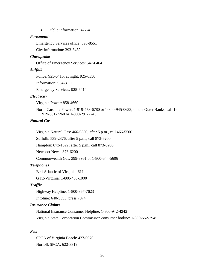• Public information: 427-4111

#### *Portsmouth*

Emergency Services office: 393-8551

City information: 393-8432

#### *Chesapeake*

Office of Emergency Services: 547-6464

#### *Suffolk*

Police: 925-6415; at night, 925-6350

Information: 934-3111

Emergency Services: 925-6414

#### *Electricity*

Virginia Power: 858-4660

North Carolina Power: 1-919-473-6780 or 1-800-945-0633; on the Outer Banks, call 1- 919-331-7260 or 1-800-291-7743

#### *Natural Gas*

Virginia Natural Gas: 466-5550; after 5 p.m., call 466-5500

Suffolk: 539-2376; after 5 p.m., call 873-6200

Hampton: 873-1322; after 5 p.m., call 873-6200

Newport News: 873-6200

Commonwealth Gas: 399-3961 or 1-800-544-5606

#### *Telephones*

Bell Atlantic of Virginia: 611

GTE-Virginia: 1-800-483-1000

#### *Traffic*

Highway Helpline: 1-800-367-7623

Infoline: 640-5555, press 7874

#### *Insurance Claims*

National Insurance Consumer Helpline: 1-800-942-4242

Virginia State Corporation Commission consumer hotline: 1-800-552-7945.

#### *Pets*

SPCA of Virginia Beach: 427-0070 Norfolk SPCA: 622-3319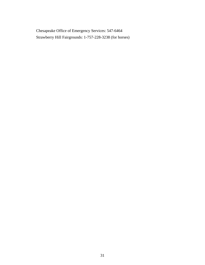Chesapeake Office of Emergency Services: 547-6464 Strawberry Hill Fairgrounds: 1-757-228-3238 (for horses)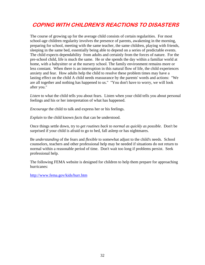# **COPING WITH CHILDREN'S REACTIONS TO DISASTERS**

The course of growing up for the average child consists of certain regularities. For most school-age children regularity involves the presence of parents, awakening in the morning, preparing for school, meeting with the same teacher, the same children, playing with friends, sleeping in the same bed, essentially being able to depend on a series of predictable events. The child expects dependability from adults and certainly from the forces of nature. For the pre-school child, life is much the same. He or she spends the day within a familiar world at home, with a babysitter or at the nursery school. The family environment remains more or less constant. When there is an interruption in this natural flow of life, the child experiences anxiety and fear. How adults help the child to resolve these problem times may have a lasting effect on the child A child needs reassurance by the parents' words and actions: "We are all together and nothing has happened to us." "You don't have to worry, we will look after you."

*Listen* to what the child tells you about fears. Listen when your child tells you about personal feelings and his or her interpretation of what has happened.

*Encourage* the child to talk and express her or his feelings.

*Explain* to the child known *facts* that can be understood.

Once things settle down, try to *get routines back to normal as quickly as possible*. Don't be surprised if your child is afraid to go to bed, fall asleep or has nightmares.

Be *understanding* of the fears and *flexible* to somewhat adjust to the child's needs. School counselors, teachers and other professional help may be needed if situations do not return to normal within a reasonable period of time. Don't wait too long if problems persist. Seek professional help.

The following FEMA website is designed for children to help them prepare for approaching hurricanes:

<http://www.fema.gov/kids/hurr.htm>